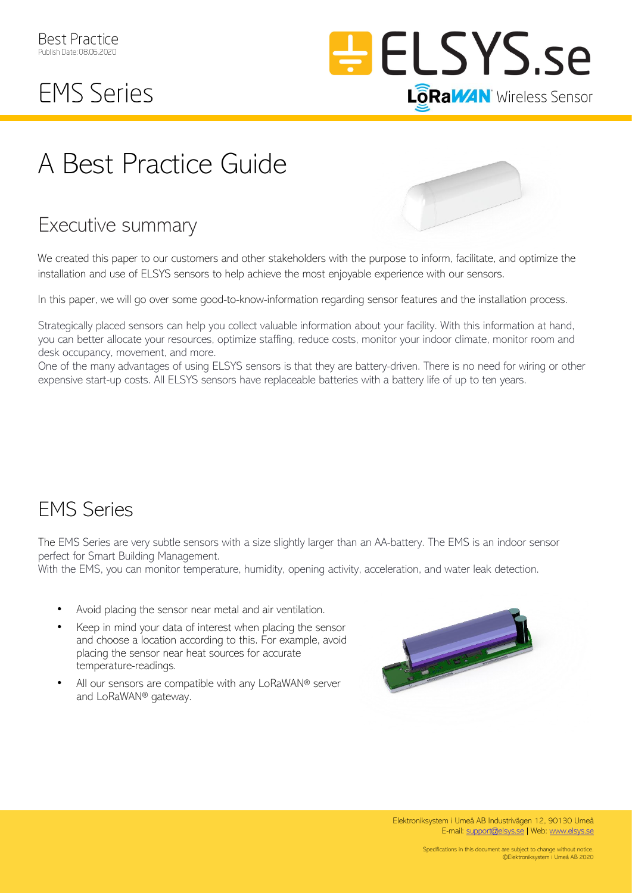

## **EMS Series**

# A Best Practice Guide

### Executive summary

We created this paper to our customers and other stakeholders with the purpose to inform, facilitate, and optimize the installation and use of ELSYS sensors to help achieve the most enjoyable experience with our sensors.

In this paper, we will go over some good-to-know-information regarding sensor features and the installation process.

Strategically placed sensors can help you collect valuable information about your facility. With this information at hand, you can better allocate your resources, optimize staffing, reduce costs, monitor your indoor climate, monitor room and desk occupancy, movement, and more.

One of the many advantages of using ELSYS sensors is that they are battery-driven. There is no need for wiring or other expensive start-up costs. All ELSYS sensors have replaceable batteries with a battery life of up to ten years.

#### EMS Series

The EMS Series are very subtle sensors with a size slightly larger than an AA-battery. The EMS is an indoor sensor perfect for Smart Building Management.

With the EMS, you can monitor temperature, humidity, opening activity, acceleration, and water leak detection.

- Avoid placing the sensor near metal and air ventilation.
- Keep in mind your data of interest when placing the sensor and choose a location according to this. For example, avoid placing the sensor near heat sources for accurate temperature-readings.
- All our sensors are compatible with any LoRaWAN® server and LoRaWAN® gateway.